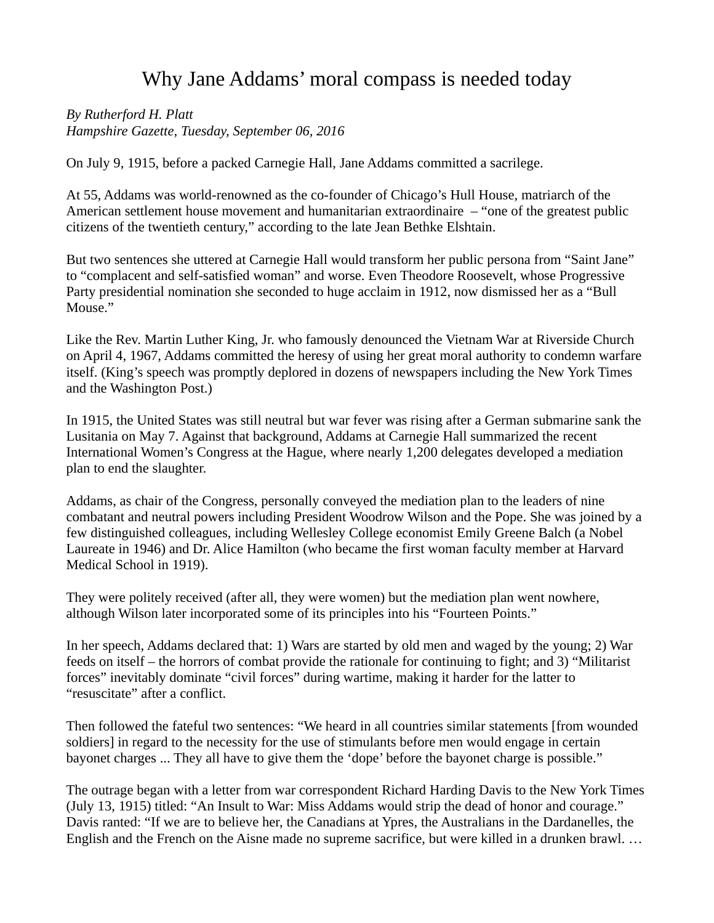## Why Jane Addams' moral compass is needed today

*By Rutherford H. Platt Hampshire Gazette, Tuesday, September 06, 2016*

On July 9, 1915, before a packed Carnegie Hall, Jane Addams committed a sacrilege.

At 55, Addams was world-renowned as the co-founder of Chicago's Hull House, matriarch of the American settlement house movement and humanitarian extraordinaire – "one of the greatest public citizens of the twentieth century," according to the late Jean Bethke Elshtain.

But two sentences she uttered at Carnegie Hall would transform her public persona from "Saint Jane" to "complacent and self-satisfied woman" and worse. Even Theodore Roosevelt, whose Progressive Party presidential nomination she seconded to huge acclaim in 1912, now dismissed her as a "Bull Mouse."

Like the Rev. Martin Luther King, Jr. who famously denounced the Vietnam War at Riverside Church on April 4, 1967, Addams committed the heresy of using her great moral authority to condemn warfare itself. (King's speech was promptly deplored in dozens of newspapers including the New York Times and the Washington Post.)

In 1915, the United States was still neutral but war fever was rising after a German submarine sank the Lusitania on May 7. Against that background, Addams at Carnegie Hall summarized the recent International Women's Congress at the Hague, where nearly 1,200 delegates developed a mediation plan to end the slaughter.

Addams, as chair of the Congress, personally conveyed the mediation plan to the leaders of nine combatant and neutral powers including President Woodrow Wilson and the Pope. She was joined by a few distinguished colleagues, including Wellesley College economist Emily Greene Balch (a Nobel Laureate in 1946) and Dr. Alice Hamilton (who became the first woman faculty member at Harvard Medical School in 1919).

They were politely received (after all, they were women) but the mediation plan went nowhere, although Wilson later incorporated some of its principles into his "Fourteen Points."

In her speech, Addams declared that: 1) Wars are started by old men and waged by the young; 2) War feeds on itself – the horrors of combat provide the rationale for continuing to fight; and 3) "Militarist forces" inevitably dominate "civil forces" during wartime, making it harder for the latter to "resuscitate" after a conflict.

Then followed the fateful two sentences: "We heard in all countries similar statements [from wounded soldiers] in regard to the necessity for the use of stimulants before men would engage in certain bayonet charges ... They all have to give them the 'dope' before the bayonet charge is possible."

The outrage began with a letter from war correspondent Richard Harding Davis to the New York Times (July 13, 1915) titled: "An Insult to War: Miss Addams would strip the dead of honor and courage." Davis ranted: "If we are to believe her, the Canadians at Ypres, the Australians in the Dardanelles, the English and the French on the Aisne made no supreme sacrifice, but were killed in a drunken brawl. …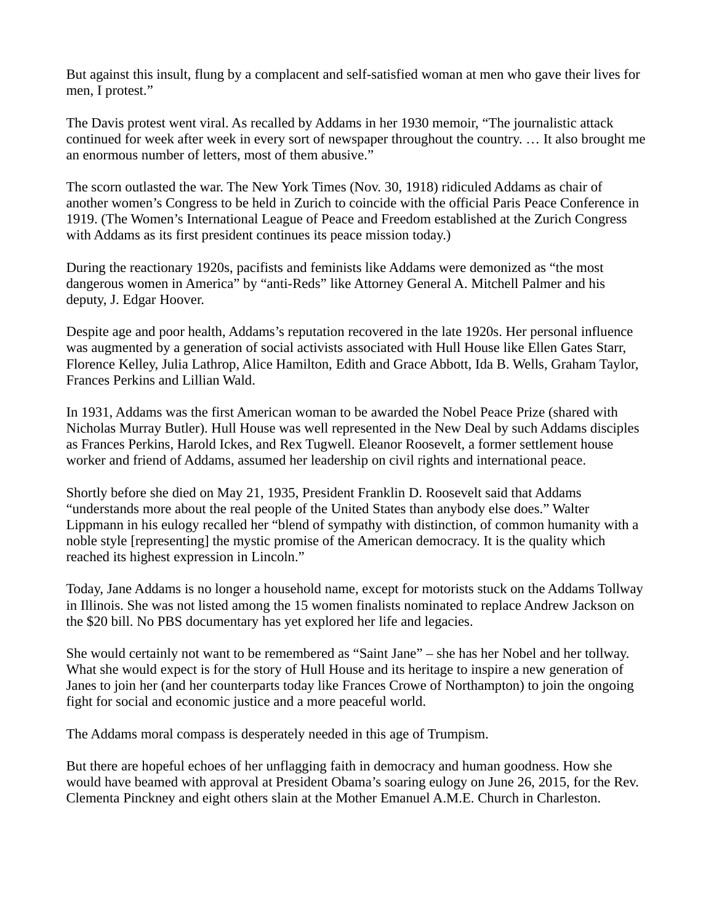But against this insult, flung by a complacent and self-satisfied woman at men who gave their lives for men, I protest."

The Davis protest went viral. As recalled by Addams in her 1930 memoir, "The journalistic attack continued for week after week in every sort of newspaper throughout the country. … It also brought me an enormous number of letters, most of them abusive."

The scorn outlasted the war. The New York Times (Nov. 30, 1918) ridiculed Addams as chair of another women's Congress to be held in Zurich to coincide with the official Paris Peace Conference in 1919. (The Women's International League of Peace and Freedom established at the Zurich Congress with Addams as its first president continues its peace mission today.)

During the reactionary 1920s, pacifists and feminists like Addams were demonized as "the most dangerous women in America" by "anti-Reds" like Attorney General A. Mitchell Palmer and his deputy, J. Edgar Hoover.

Despite age and poor health, Addams's reputation recovered in the late 1920s. Her personal influence was augmented by a generation of social activists associated with Hull House like Ellen Gates Starr, Florence Kelley, Julia Lathrop, Alice Hamilton, Edith and Grace Abbott, Ida B. Wells, Graham Taylor, Frances Perkins and Lillian Wald.

In 1931, Addams was the first American woman to be awarded the Nobel Peace Prize (shared with Nicholas Murray Butler). Hull House was well represented in the New Deal by such Addams disciples as Frances Perkins, Harold Ickes, and Rex Tugwell. Eleanor Roosevelt, a former settlement house worker and friend of Addams, assumed her leadership on civil rights and international peace.

Shortly before she died on May 21, 1935, President Franklin D. Roosevelt said that Addams "understands more about the real people of the United States than anybody else does." Walter Lippmann in his eulogy recalled her "blend of sympathy with distinction, of common humanity with a noble style [representing] the mystic promise of the American democracy. It is the quality which reached its highest expression in Lincoln."

Today, Jane Addams is no longer a household name, except for motorists stuck on the Addams Tollway in Illinois. She was not listed among the 15 women finalists nominated to replace Andrew Jackson on the \$20 bill. No PBS documentary has yet explored her life and legacies.

She would certainly not want to be remembered as "Saint Jane" – she has her Nobel and her tollway. What she would expect is for the story of Hull House and its heritage to inspire a new generation of Janes to join her (and her counterparts today like Frances Crowe of Northampton) to join the ongoing fight for social and economic justice and a more peaceful world.

The Addams moral compass is desperately needed in this age of Trumpism.

But there are hopeful echoes of her unflagging faith in democracy and human goodness. How she would have beamed with approval at President Obama's soaring eulogy on June 26, 2015, for the Rev. Clementa Pinckney and eight others slain at the Mother Emanuel A.M.E. Church in Charleston.